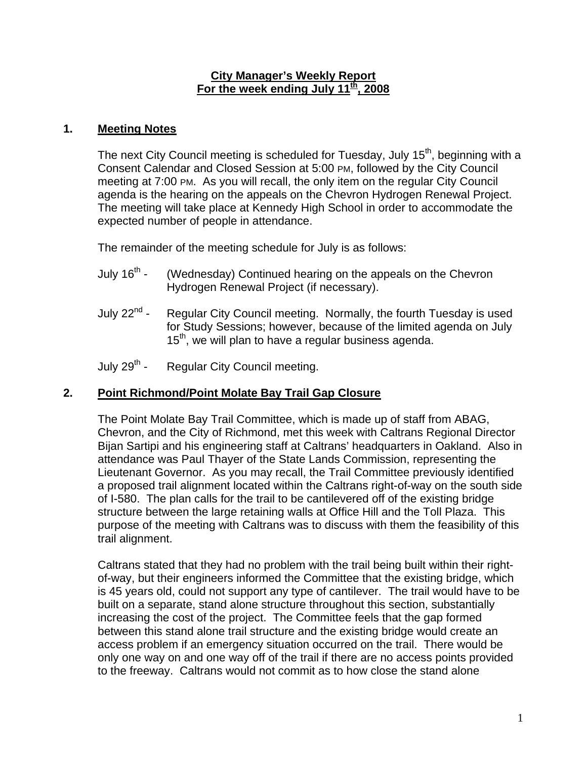#### **City Manager's Weekly Report For the week ending July 11th, 2008**

### **1. Meeting Notes**

The next City Council meeting is scheduled for Tuesday, July 15<sup>th</sup>, beginning with a Consent Calendar and Closed Session at 5:00 PM, followed by the City Council meeting at 7:00 PM. As you will recall, the only item on the regular City Council agenda is the hearing on the appeals on the Chevron Hydrogen Renewal Project. The meeting will take place at Kennedy High School in order to accommodate the expected number of people in attendance.

The remainder of the meeting schedule for July is as follows:

- July 16<sup>th</sup> (Wednesday) Continued hearing on the appeals on the Chevron Hydrogen Renewal Project (if necessary).
- July  $22^{nd}$  Regular City Council meeting. Normally, the fourth Tuesday is used for Study Sessions; however, because of the limited agenda on July  $15<sup>th</sup>$ , we will plan to have a regular business agenda.
- July 29<sup>th</sup> Regular City Council meeting.

## **2. Point Richmond/Point Molate Bay Trail Gap Closure**

The Point Molate Bay Trail Committee, which is made up of staff from ABAG, Chevron, and the City of Richmond, met this week with Caltrans Regional Director Bijan Sartipi and his engineering staff at Caltrans' headquarters in Oakland. Also in attendance was Paul Thayer of the State Lands Commission, representing the Lieutenant Governor. As you may recall, the Trail Committee previously identified a proposed trail alignment located within the Caltrans right-of-way on the south side of I-580. The plan calls for the trail to be cantilevered off of the existing bridge structure between the large retaining walls at Office Hill and the Toll Plaza. This purpose of the meeting with Caltrans was to discuss with them the feasibility of this trail alignment.

Caltrans stated that they had no problem with the trail being built within their rightof-way, but their engineers informed the Committee that the existing bridge, which is 45 years old, could not support any type of cantilever. The trail would have to be built on a separate, stand alone structure throughout this section, substantially increasing the cost of the project. The Committee feels that the gap formed between this stand alone trail structure and the existing bridge would create an access problem if an emergency situation occurred on the trail. There would be only one way on and one way off of the trail if there are no access points provided to the freeway. Caltrans would not commit as to how close the stand alone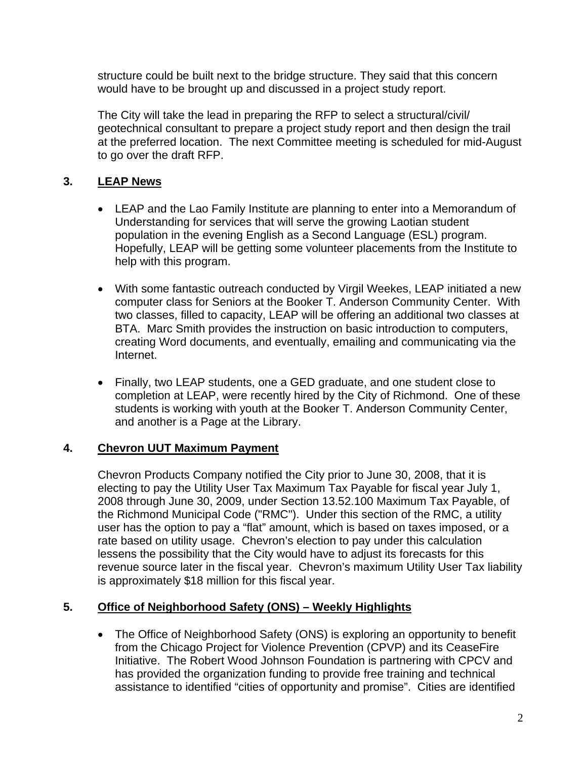structure could be built next to the bridge structure. They said that this concern would have to be brought up and discussed in a project study report.

The City will take the lead in preparing the RFP to select a structural/civil/ geotechnical consultant to prepare a project study report and then design the trail at the preferred location. The next Committee meeting is scheduled for mid-August to go over the draft RFP.

# **3. LEAP News**

- LEAP and the Lao Family Institute are planning to enter into a Memorandum of Understanding for services that will serve the growing Laotian student population in the evening English as a Second Language (ESL) program. Hopefully, LEAP will be getting some volunteer placements from the Institute to help with this program.
- With some fantastic outreach conducted by Virgil Weekes, LEAP initiated a new computer class for Seniors at the Booker T. Anderson Community Center. With two classes, filled to capacity, LEAP will be offering an additional two classes at BTA. Marc Smith provides the instruction on basic introduction to computers, creating Word documents, and eventually, emailing and communicating via the Internet.
- Finally, two LEAP students, one a GED graduate, and one student close to completion at LEAP, were recently hired by the City of Richmond. One of these students is working with youth at the Booker T. Anderson Community Center, and another is a Page at the Library.

## **4. Chevron UUT Maximum Payment**

Chevron Products Company notified the City prior to June 30, 2008, that it is electing to pay the Utility User Tax Maximum Tax Payable for fiscal year July 1, 2008 through June 30, 2009, under Section 13.52.100 Maximum Tax Payable, of the Richmond Municipal Code ("RMC"). Under this section of the RMC, a utility user has the option to pay a "flat" amount, which is based on taxes imposed, or a rate based on utility usage. Chevron's election to pay under this calculation lessens the possibility that the City would have to adjust its forecasts for this revenue source later in the fiscal year. Chevron's maximum Utility User Tax liability is approximately \$18 million for this fiscal year.

### **5. Office of Neighborhood Safety (ONS) – Weekly Highlights**

• The Office of Neighborhood Safety (ONS) is exploring an opportunity to benefit from the Chicago Project for Violence Prevention (CPVP) and its CeaseFire Initiative. The Robert Wood Johnson Foundation is partnering with CPCV and has provided the organization funding to provide free training and technical assistance to identified "cities of opportunity and promise". Cities are identified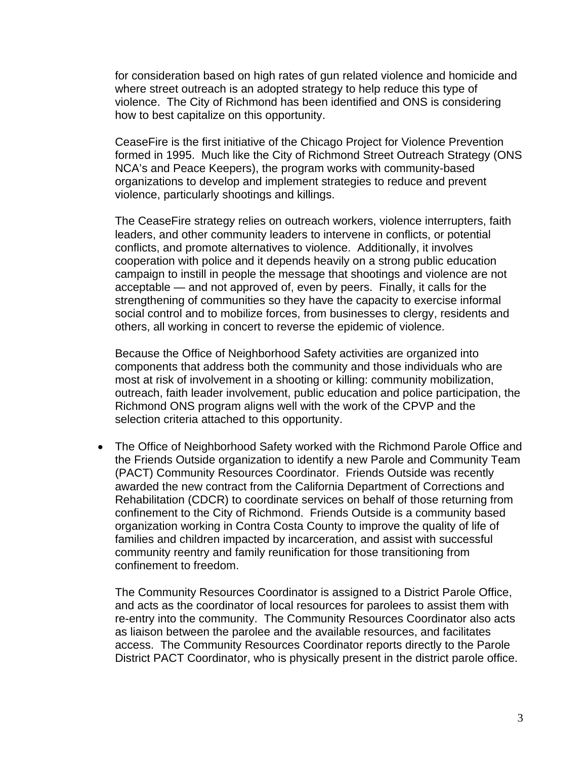for consideration based on high rates of gun related violence and homicide and where street outreach is an adopted strategy to help reduce this type of violence. The City of Richmond has been identified and ONS is considering how to best capitalize on this opportunity.

CeaseFire is the first initiative of the Chicago Project for Violence Prevention formed in 1995. Much like the City of Richmond Street Outreach Strategy (ONS NCA's and Peace Keepers), the program works with community-based organizations to develop and implement strategies to reduce and prevent violence, particularly shootings and killings.

The CeaseFire strategy relies on outreach workers, violence interrupters, faith leaders, and other community leaders to intervene in conflicts, or potential conflicts, and promote alternatives to violence. Additionally, it involves cooperation with police and it depends heavily on a strong public education campaign to instill in people the message that shootings and violence are not acceptable — and not approved of, even by peers. Finally, it calls for the strengthening of communities so they have the capacity to exercise informal social control and to mobilize forces, from businesses to clergy, residents and others, all working in concert to reverse the epidemic of violence.

Because the Office of Neighborhood Safety activities are organized into components that address both the community and those individuals who are most at risk of involvement in a shooting or killing: community mobilization, outreach, faith leader involvement, public education and police participation, the Richmond ONS program aligns well with the work of the CPVP and the selection criteria attached to this opportunity.

• The Office of Neighborhood Safety worked with the Richmond Parole Office and the Friends Outside organization to identify a new Parole and Community Team (PACT) Community Resources Coordinator. Friends Outside was recently awarded the new contract from the California Department of Corrections and Rehabilitation (CDCR) to coordinate services on behalf of those returning from confinement to the City of Richmond. Friends Outside is a community based organization working in Contra Costa County to improve the quality of life of families and children impacted by incarceration, and assist with successful community reentry and family reunification for those transitioning from confinement to freedom.

The Community Resources Coordinator is assigned to a District Parole Office, and acts as the coordinator of local resources for parolees to assist them with re-entry into the community. The Community Resources Coordinator also acts as liaison between the parolee and the available resources, and facilitates access. The Community Resources Coordinator reports directly to the Parole District PACT Coordinator, who is physically present in the district parole office.